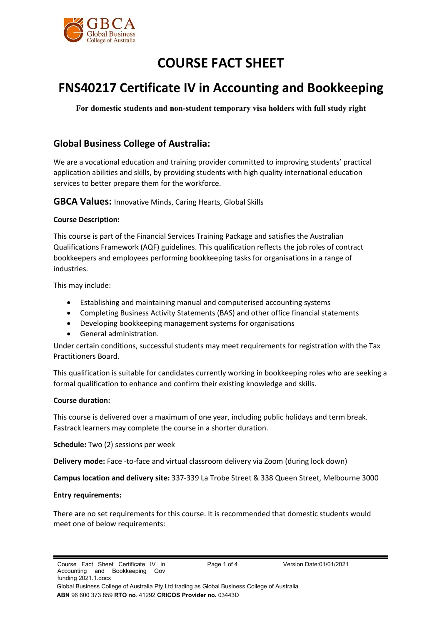

# **COURSE FACT SHEET**

# **FNS40217 Certificate IV in Accounting and Bookkeeping**

**For domestic students and non-student temporary visa holders with full study right**

# **Global Business College of Australia:**

We are a vocational education and training provider committed to improving students' practical application abilities and skills, by providing students with high quality international education services to better prepare them for the workforce.

**GBCA Values:** Innovative Minds, Caring Hearts, Global Skills

# **Course Description:**

This course is part of the Financial Services Training Package and satisfies the Australian Qualifications Framework (AQF) guidelines. This qualification reflects the job roles of contract bookkeepers and employees performing bookkeeping tasks for organisations in a range of industries.

This may include:

- Establishing and maintaining manual and computerised accounting systems
- Completing Business Activity Statements (BAS) and other office financial statements
- Developing bookkeeping management systems for organisations
- General administration.

Under certain conditions, successful students may meet requirements for registration with the Tax Practitioners Board.

This qualification is suitable for candidates currently working in bookkeeping roles who are seeking a formal qualification to enhance and confirm their existing knowledge and skills.

# **Course duration:**

This course is delivered over a maximum of one year, including public holidays and term break. Fastrack learners may complete the course in a shorter duration.

**Schedule:** Two (2) sessions per week

**Delivery mode:** Face -to-face and virtual classroom delivery via Zoom (during lock down)

**Campus location and delivery site:** 337-339 La Trobe Street & 338 Queen Street, Melbourne 3000

# **Entry requirements:**

There are no set requirements for this course. It is recommended that domestic students would meet one of below requirements: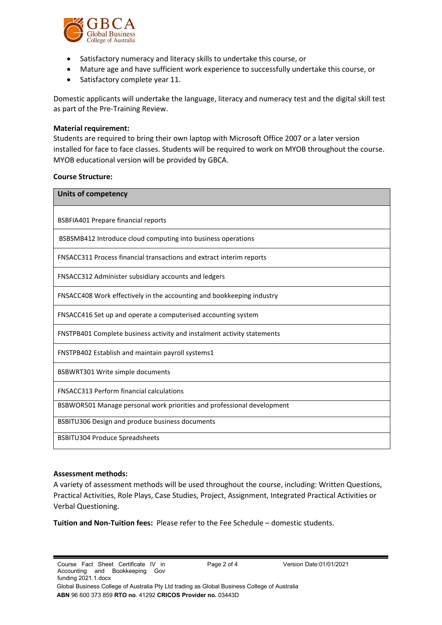

- Satisfactory numeracy and literacy skills to undertake this course, or
- Mature age and have sufficient work experience to successfully undertake this course, or
- Satisfactory complete year 11.

Domestic applicants will undertake the language, literacy and numeracy test and the digital skill test as part of the Pre-Training Review.

#### **Material requirement:**

Students are required to bring their own laptop with Microsoft Office 2007 or a later version installed for face to face classes. Students will be required to work on MYOB throughout the course. MYOB educational version will be provided by GBCA.

#### **Course Structure:**

| <b>Units of competency</b>                                              |
|-------------------------------------------------------------------------|
| <b>BSBFIA401 Prepare financial reports</b>                              |
| BSBSMB412 Introduce cloud computing into business operations            |
| FNSACC311 Process financial transactions and extract interim reports    |
| FNSACC312 Administer subsidiary accounts and ledgers                    |
| FNSACC408 Work effectively in the accounting and bookkeeping industry   |
| FNSACC416 Set up and operate a computerised accounting system           |
| FNSTPB401 Complete business activity and instalment activity statements |
| FNSTPB402 Establish and maintain payroll systems1                       |
| <b>BSBWRT301 Write simple documents</b>                                 |
| <b>FNSACC313 Perform financial calculations</b>                         |
| BSBWOR501 Manage personal work priorities and professional development  |
| BSBITU306 Design and produce business documents                         |
| <b>BSBITU304 Produce Spreadsheets</b>                                   |

# **Assessment methods:**

A variety of assessment methods will be used throughout the course, including: Written Questions, Practical Activities, Role Plays, Case Studies, Project, Assignment, Integrated Practical Activities or Verbal Questioning.

**Tuition and Non-Tuition fees:** Please refer to the Fee Schedule – domestic students.